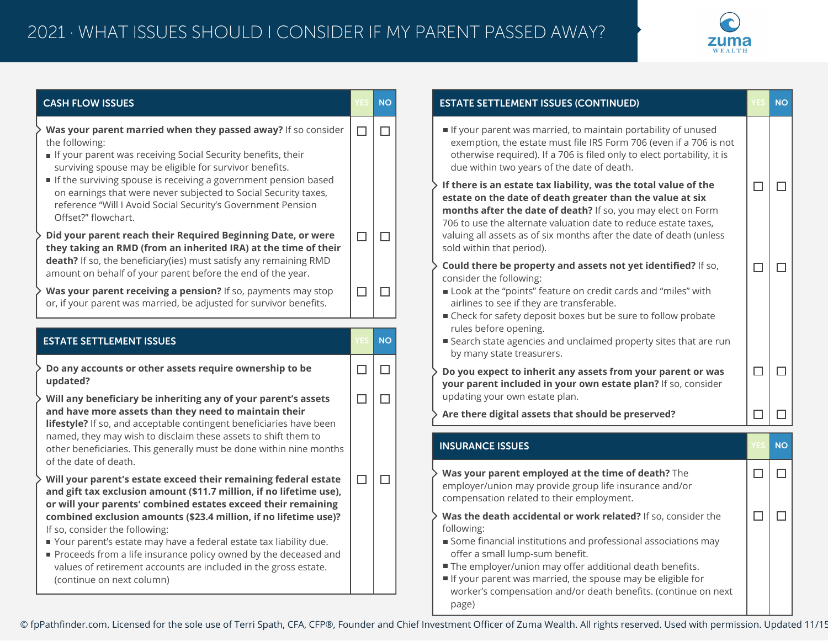

| <b>CASH FLOW ISSUES</b>                                                                                                                                                                                                   |        | <b>NO</b> | <b>ESTATE SETTLEMENT ISSUES (CONTINUED)</b>                                                                                                                                                                                                                     |        | <b>NO</b> |
|---------------------------------------------------------------------------------------------------------------------------------------------------------------------------------------------------------------------------|--------|-----------|-----------------------------------------------------------------------------------------------------------------------------------------------------------------------------------------------------------------------------------------------------------------|--------|-----------|
| Was your parent married when they passed away? If so consider<br>the following:<br>If your parent was receiving Social Security benefits, their<br>surviving spouse may be eligible for survivor benefits.                | $\Box$ | $\Box$    | If your parent was married, to maintain portability of unused<br>exemption, the estate must file IRS Form 706 (even if a 706 is not<br>otherwise required). If a 706 is filed only to elect portability, it is<br>due within two years of the date of death.    |        |           |
| If the surviving spouse is receiving a government pension based<br>on earnings that were never subjected to Social Security taxes,<br>reference "Will I Avoid Social Security's Government Pension<br>Offset?" flowchart. |        |           | If there is an estate tax liability, was the total value of the<br>estate on the date of death greater than the value at six<br>months after the date of death? If so, you may elect on Form<br>706 to use the alternate valuation date to reduce estate taxes, | $\Box$ | $\Box$    |
| Did your parent reach their Required Beginning Date, or were<br>they taking an RMD (from an inherited IRA) at the time of their                                                                                           | $\Box$ | $\Box$    | valuing all assets as of six months after the date of death (unless<br>sold within that period).                                                                                                                                                                |        |           |
| death? If so, the beneficiary(ies) must satisfy any remaining RMD<br>amount on behalf of your parent before the end of the year.                                                                                          |        |           | Could there be property and assets not yet identified? If so,<br>consider the following:                                                                                                                                                                        | $\Box$ | П         |
| Was your parent receiving a pension? If so, payments may stop<br>or, if your parent was married, be adjusted for survivor benefits.                                                                                       | $\Box$ | $\Box$    | Look at the "points" feature on credit cards and "miles" with<br>airlines to see if they are transferable.<br>■ Check for safety deposit boxes but be sure to follow probate                                                                                    |        |           |
| <b>ESTATE SETTLEMENT ISSUES</b>                                                                                                                                                                                           |        | <b>NO</b> | rules before opening.<br>■ Search state agencies and unclaimed property sites that are run<br>by many state treasurers.                                                                                                                                         |        |           |
| Do any accounts or other assets require ownership to be<br>updated?                                                                                                                                                       | $\Box$ | $\Box$    | Do you expect to inherit any assets from your parent or was<br>your parent included in your own estate plan? If so, consider                                                                                                                                    | $\Box$ | $\Box$    |
| Will any beneficiary be inheriting any of your parent's assets<br>and have more assets than they need to maintain their                                                                                                   | $\Box$ | $\Box$    | updating your own estate plan.<br>Are there digital assets that should be preserved?                                                                                                                                                                            | $\Box$ | $\Box$    |
| lifestyle? If so, and acceptable contingent beneficiaries have been<br>named, they may wish to disclaim these assets to shift them to                                                                                     |        |           | <b>INSURANCE ISSUES</b>                                                                                                                                                                                                                                         |        | <b>NO</b> |
| other beneficiaries. This generally must be done within nine months<br>of the date of death.                                                                                                                              |        |           |                                                                                                                                                                                                                                                                 |        |           |
| Will your parent's estate exceed their remaining federal estate<br>and gift tax exclusion amount (\$11.7 million, if no lifetime use),<br>or will your parents' combined estates exceed their remaining                   | □      | $\Box$    | Was your parent employed at the time of death? The<br>employer/union may provide group life insurance and/or<br>compensation related to their employment.                                                                                                       | $\Box$ | $\Box$    |
| combined exclusion amounts (\$23.4 million, if no lifetime use)?                                                                                                                                                          |        |           | Was the death accidental or work related? If so, consider the                                                                                                                                                                                                   | $\Box$ | $\Box$    |
| If so, consider the following:<br>■ Your parent's estate may have a federal estate tax liability due.                                                                                                                     |        |           | following:<br>Some financial institutions and professional associations may                                                                                                                                                                                     |        |           |
| Proceeds from a life insurance policy owned by the deceased and<br>values of retirement accounts are included in the gross estate.                                                                                        |        |           | offer a small lump-sum benefit.<br>The employer/union may offer additional death benefits.                                                                                                                                                                      |        |           |
| (continue on next column)                                                                                                                                                                                                 |        |           | If your parent was married, the spouse may be eligible for<br>worker's compensation and/or death benefits. (continue on next<br>page)                                                                                                                           |        |           |

© fpPathfinder.com. Licensed for the sole use of Terri Spath, CFA, CFP®, Founder and Chief Investment Officer of Zuma Wealth. All rights reserved. Used with permission. Updated 11/15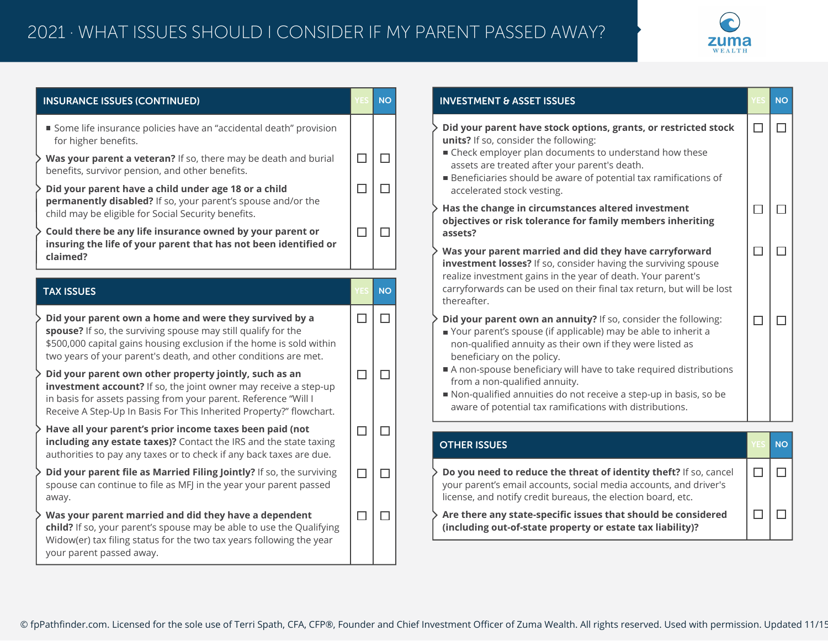

| <b>INSURANCE ISSUES (CONTINUED)</b>                                                                                                                                                                                                                                  |        | <b>NO</b> | <b>INVESTMENT &amp; ASSET</b>                                                             |  |  |
|----------------------------------------------------------------------------------------------------------------------------------------------------------------------------------------------------------------------------------------------------------------------|--------|-----------|-------------------------------------------------------------------------------------------|--|--|
| Some life insurance policies have an "accidental death" provision<br>for higher benefits.<br>Was your parent a veteran? If so, there may be death and burial                                                                                                         | $\Box$ | П         | Did your parent have<br>units? If so, consider<br>■ Check employer pla                    |  |  |
| benefits, survivor pension, and other benefits.<br>Did your parent have a child under age 18 or a child                                                                                                                                                              | $\Box$ | □         | assets are treated a<br><b>Beneficiaries should</b><br>accelerated stock ve               |  |  |
| permanently disabled? If so, your parent's spouse and/or the<br>child may be eligible for Social Security benefits.                                                                                                                                                  |        |           | Has the change in ci<br>objectives or risk tol                                            |  |  |
| Could there be any life insurance owned by your parent or<br>insuring the life of your parent that has not been identified or                                                                                                                                        | $\Box$ | П         | assets?                                                                                   |  |  |
| claimed?                                                                                                                                                                                                                                                             |        |           | Was your parent ma<br>investment losses?                                                  |  |  |
| <b>TAX ISSUES</b>                                                                                                                                                                                                                                                    | YES    | <b>NO</b> | realize investment gai<br>carryforwards can be<br>thereafter.                             |  |  |
| Did your parent own a home and were they survived by a<br>spouse? If so, the surviving spouse may still qualify for the<br>\$500,000 capital gains housing exclusion if the home is sold within<br>two years of your parent's death, and other conditions are met.   | $\Box$ | П         | Did your parent own<br>Your parent's spous<br>non-qualified annui<br>beneficiary on the p |  |  |
| Did your parent own other property jointly, such as an<br>investment account? If so, the joint owner may receive a step-up<br>in basis for assets passing from your parent. Reference "Will I<br>Receive A Step-Up In Basis For This Inherited Property?" flowchart. | $\Box$ | □         | A non-spouse benef<br>from a non-qualified<br>Non-qualified annui<br>aware of potential t |  |  |
| Have all your parent's prior income taxes been paid (not<br>including any estate taxes)? Contact the IRS and the state taxing<br>authorities to pay any taxes or to check if any back taxes are due.                                                                 | $\Box$ | $\Box$    | <b>OTHER ISSUES</b>                                                                       |  |  |
| Did your parent file as Married Filing Jointly? If so, the surviving<br>spouse can continue to file as MFJ in the year your parent passed<br>away.                                                                                                                   | $\Box$ | П         | Do you need to redu<br>your parent's email ad<br>license, and notify cre                  |  |  |
| Was your parent married and did they have a dependent<br>child? If so, your parent's spouse may be able to use the Qualifying<br>Widow(er) tax filing status for the two tax years following the year<br>your parent passed away.                                    | □      | П         | Are there any state-<br>(including out-of-sta                                             |  |  |

| <b>INVESTMENT &amp; ASSET ISSUES</b>                                                                                                                                                                                                                                                                                                                                                                                                                             | <b>/ES</b> | <b>NO</b> |
|------------------------------------------------------------------------------------------------------------------------------------------------------------------------------------------------------------------------------------------------------------------------------------------------------------------------------------------------------------------------------------------------------------------------------------------------------------------|------------|-----------|
| Did your parent have stock options, grants, or restricted stock<br>units? If so, consider the following:<br>■ Check employer plan documents to understand how these<br>assets are treated after your parent's death.<br>Beneficiaries should be aware of potential tax ramifications of<br>accelerated stock vesting.                                                                                                                                            | $\Box$     | П         |
| Has the change in circumstances altered investment<br>objectives or risk tolerance for family members inheriting<br>assets?                                                                                                                                                                                                                                                                                                                                      | П          |           |
| Was your parent married and did they have carryforward<br>investment losses? If so, consider having the surviving spouse<br>realize investment gains in the year of death. Your parent's<br>carryforwards can be used on their final tax return, but will be lost<br>thereafter.                                                                                                                                                                                 |            |           |
| Did your parent own an annuity? If so, consider the following:<br>Your parent's spouse (if applicable) may be able to inherit a<br>non-qualified annuity as their own if they were listed as<br>beneficiary on the policy.<br>A non-spouse beneficiary will have to take required distributions<br>from a non-qualified annuity.<br>Non-qualified annuities do not receive a step-up in basis, so be<br>aware of potential tax ramifications with distributions. | П          |           |
| <b>OTHER ISSUES</b>                                                                                                                                                                                                                                                                                                                                                                                                                                              | 75S        | <b>NO</b> |
| Do you need to reduce the threat of identity theft? If so, cancel<br>your parent's email accounts, social media accounts, and driver's<br>license, and notify credit bureaus, the election board, etc.                                                                                                                                                                                                                                                           | П          |           |
| Are there any state-specific issues that should be considered<br>(including out-of-state property or estate tax liability)?                                                                                                                                                                                                                                                                                                                                      |            |           |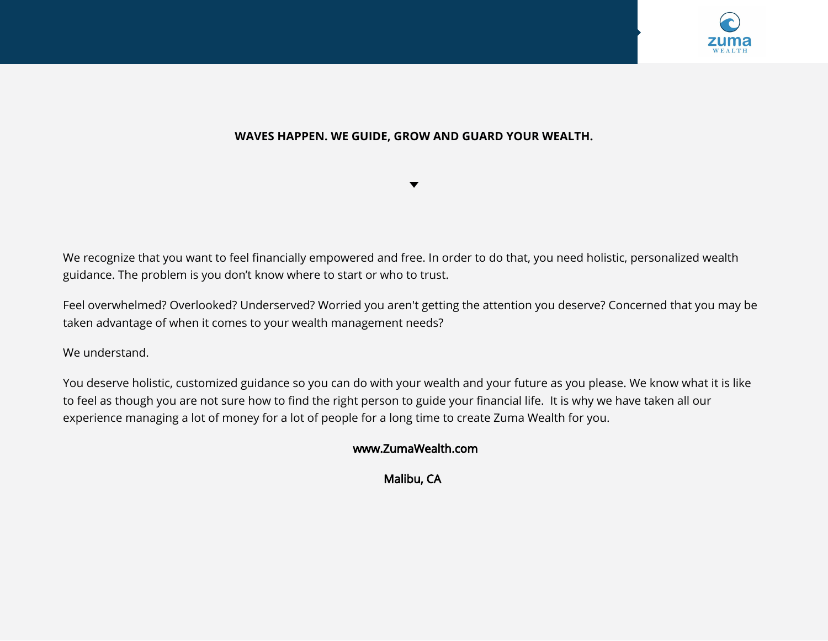

## **WAVES HAPPEN. WE GUIDE, GROW AND GUARD YOUR WEALTH.**

 $\blacktriangledown$ 

We recognize that you want to feel financially empowered and free. In order to do that, you need holistic, personalized wealth guidance. The problem is you don't know where to start or who to trust.

Feel overwhelmed? Overlooked? Underserved? Worried you aren't getting the attention you deserve? Concerned that you may be taken advantage of when it comes to your wealth management needs?

We understand.

You deserve holistic, customized guidance so you can do with your wealth and your future as you please. We know what it is like to feel as though you are not sure how to find the right person to guide your financial life. It is why we have taken all our experience managing a lot of money for a lot of people for a long time to create Zuma Wealth for you.

## www.ZumaWealth.com

Malibu, CA